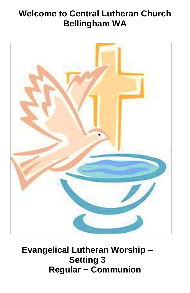# **Welcome to Central Lutheran Church Bellingham WA**



# **Evangelical Lutheran Worship – Setting 3 Regular ~ Communion**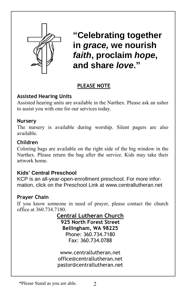

 $\mathbf{r}$ **"Celebrating together in** *grace,* **we nourish**  *faith***, proclaim** *hope***, and share** *love***."**

# **PLEASE NOTE**

I

# **Assisted Hearing Units**

Assisted hearing units are available in the Narthex. Please ask an usher to assist you with one for our services today.

### **Nursery**

The nursery is available during worship. Silent pagers are also available.

# **Children**

Coloring bags are available on the right side of the big window in the Narthex. Please return the bag after the service. Kids may take their artwork home.

# **Kids' Central Preschool**

KCP is an all-year-open-enrollment preschool. For more information, click on the Preschool Link at www.centrallutheran.net

# **Prayer Chain**

If you know someone in need of prayer, please contact the church office at 360.734.7180.

**Central Lutheran Church**

**925 North Forest Street Bellingham, WA 98225** Phone: 360.734.7180 Fax: 360.734.0788

www.centrallutheran.net office@centrallutheran.net pastor@centrallutheran.net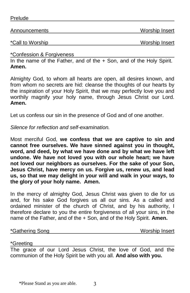Prelude

Announcements Worship Insert

\*Call to Worship Norship **Worship Insert** 

\*Confession & Forgiveness

In the name of the Father, and of the + Son, and of the Holy Spirit. **Amen.**

Almighty God, to whom all hearts are open, all desires known, and from whom no secrets are hid: cleanse the thoughts of our hearts by the inspiration of your Holy Spirit, that we may perfectly love you and worthily magnify your holy name, through Jesus Christ our Lord. **Amen.**

Let us confess our sin in the presence of God and of one another.

*Silence for reflection and self-examination.*

Most merciful God, **we confess that we are captive to sin and cannot free ourselves. We have sinned against you in thought, word, and deed, by what we have done and by what we have left undone. We have not loved you with our whole heart; we have not loved our neighbors as ourselves. For the sake of your Son, Jesus Christ, have mercy on us. Forgive us, renew us, and lead us, so that we may delight in your will and walk in your ways, to the glory of your holy name. Amen.**

In the mercy of almighty God, Jesus Christ was given to die for us and, for his sake God forgives us all our sins. As a called and ordained minister of the church of Christ, and by his authority, I therefore declare to you the entire forgiveness of all your sins, in the name of the Father, and of the + Son, and of the Holy Spirit. **Amen.**

\*Gathering Song Worship Insert

\*Greeting

The grace of our Lord Jesus Christ, the love of God, and the communion of the Holy Spirit be with you all. **And also with you.**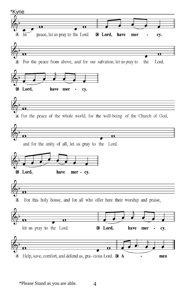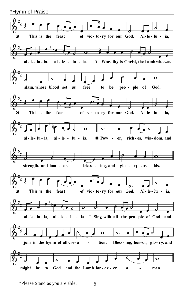\*Hymn of Praise

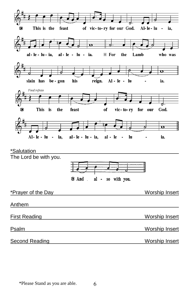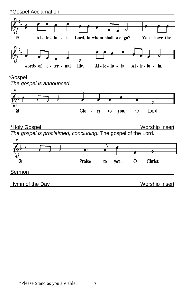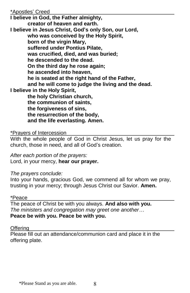#### \*Apostles' Creed

**I believe in God, the Father almighty, creator of heaven and earth. I believe in Jesus Christ, God's only Son, our Lord, who was conceived by the Holy Spirit, born of the virgin Mary, suffered under Pontius Pilate, was crucified, died, and was buried; he descended to the dead. On the third day he rose again; he ascended into heaven, he is seated at the right hand of the Father, and he will come to judge the living and the dead. I believe in the Holy Spirit, the holy Christian church, the communion of saints, the forgiveness of sins, the resurrection of the body, and the life everlasting. Amen.**

#### \*Prayers of Intercession

With the whole people of God in Christ Jesus, let us pray for the church, those in need, and all of God's creation.

*After each portion of the prayers:* Lord, in your mercy, **hear our prayer.**

*The prayers conclude:*

Into your hands, gracious God, we commend all for whom we pray, trusting in your mercy; through Jesus Christ our Savior. **Amen.**

#### \*Peace

The peace of Christ be with you always. **And also with you.** *The ministers and congregation may greet one another…* **Peace be with you. Peace be with you.**

#### Offering **Offering Contained Acts Contained Acts Contained Acts Contained Acts Contained Acts Contained Acts Contained Acts Contained Acts Contained Acts Contained Acts Contained Acts Contained Acts**

Please fill out an attendance/communion card and place it in the offering plate.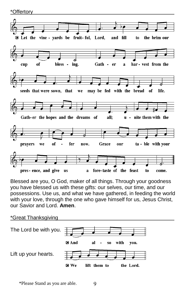\*Offertory



Blessed are you, O God, maker of all things. Through your goodness you have blessed us with these gifts: our selves, our time, and our possessions. Use us, and what we have gathered, in feeding the world with your love, through the one who gave himself for us, Jesus Christ, our Savior and Lord. **Amen**.

#### \*Great Thanksgiving

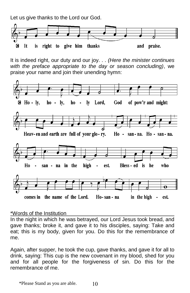Let us give thanks to the Lord our God.



It is indeed right, our duty and our joy. . . *(Here the minister continues with the preface appropriate to the day or season concluding)*, we praise your name and join their unending hymn:



#### \*Words of the Institution

In the night in which he was betrayed, our Lord Jesus took bread, and gave thanks; broke it, and gave it to his disciples, saying: Take and eat; this is my body, given for you. Do this for the remembrance of me.

Again, after supper, he took the cup, gave thanks, and gave it for all to drink, saying: This cup is the new covenant in my blood, shed for you and for all people for the forgiveness of sin. Do this for the remembrance of me.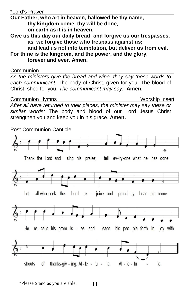#### \*Lord's Prayer

**Our Father, who art in heaven, hallowed be thy name, thy kingdom come, thy will be done,** 

**on earth as it is in heaven.** 

**Give us this day our daily bread; and forgive us our trespasses, as we forgive those who trespass against us;**

**and lead us not into temptation, but deliver us from evil. For thine is the kingdom, and the power, and the glory, forever and ever. Amen.**

Communion

*As the ministers give the bread and wine, they say these words to each communicant:* The body of Christ, given for you. The blood of Christ, shed for you. *The communicant may say:* **Amen.**

Communion Hymns Worship Insert

*After all have returned to their places, the minister may say these or similar words:* The body and blood of our Lord Jesus Christ strengthen you and keep you in his grace. **Amen.**

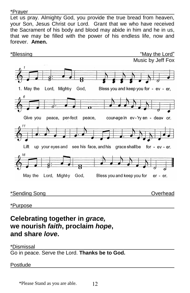\*Prayer

Let us pray. Almighty God, you provide the true bread from heaven, your Son, Jesus Christ our Lord. Grant that we who have received the Sacrament of his body and blood may abide in him and he in us, that we may be filled with the power of his endless life, now and forever. **Amen.**



\*Purpose

# **Celebrating together in** *grace,* **we nourish** *faith***, proclaim** *hope***, and share** *love***.**

#### \*Dismissal

Go in peace. Serve the Lord. **Thanks be to God.**

Postlude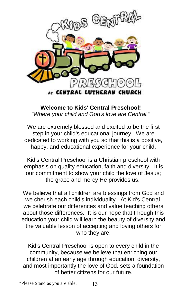

**Welcome to Kids' Central Preschool!** *"Where your child and God's love are Central."*

We are extremely blessed and excited to be the first step in your child's educational journey. We are dedicated to working with you so that this is a positive, happy, and educational experience for your child.

Kid's Central Preschool is a Christian preschool with emphasis on quality education, faith and diversity. It is our commitment to show your child the love of Jesus; the grace and mercy He provides us.

We believe that all children are blessings from God and we cherish each child's individuality. At Kid's Central, we celebrate our differences and value teaching others about those differences. It is our hope that through this education your child will learn the beauty of diversity and the valuable lesson of accepting and loving others for who they are.

Kid's Central Preschool is open to every child in the community, because we believe that enriching our children at an early age through education, diversity, and most importantly the love of God, sets a foundation of better citizens for our future.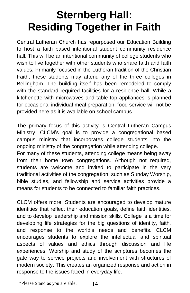# **Sternberg Hall: Residing Together in Faith**

Central Lutheran Church has repurposed our Education Building to host a faith based intentional student community residence hall. This will be an intentional community of college students who wish to live together with other students who share faith and faith values. Primarily focused in the Lutheran tradition of the Christian Faith, these students may attend any of the three colleges in Bellingham. The building itself has been remodeled to comply with the standard required facilities for a residence hall. While a kitchenette with microwaves and table top appliances is planned for occasional individual meal preparation, food service will not be provided here as it is available on school campus.

The primary focus of this activity is Central Lutheran Campus Ministry. CLCM's goal is to provide a congregational based campus ministry that incorporates college students into the ongoing ministry of the congregation while attending college. For many of these students, attending college means being away from their home town congregations. Although not required, students are welcome and invited to participate in the very traditional activities of the congregation, such as Sunday Worship, bible studies, and fellowship and service activities provide a means for students to be connected to familiar faith practices.

CLCM offers more. Students are encouraged to develop mature identities that reflect their education goals, define faith identities. and to develop leadership and mission skills. College is a time for developing life strategies for the big questions of identity, faith, and response to the world's needs and benefits. CLCM encourages students to explore the intellectual and spiritual aspects of values and ethics through discussion and life experiences. Worship and study of the scriptures becomes the gate way to service projects and involvement with structures of modern society. This creates an organized response and action in response to the issues faced in everyday life.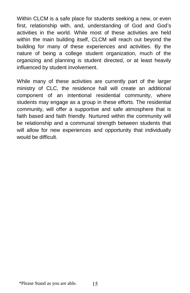Within CLCM is a safe place for students seeking a new, or even first, relationship with, and, understanding of God and God's activities in the world. While most of these activities are held within the main building itself, CLCM will reach out beyond the building for many of these experiences and activities. By the nature of being a college student organization, much of the organizing and planning is student directed, or at least heavily influenced by student involvement.

While many of these activities are currently part of the larger ministry of CLC, the residence hall will create an additional component of an intentional residential community, where students may engage as a group in these efforts. The residential community, will offer a supportive and safe atmosphere that is faith based and faith friendly. Nurtured within the community will be relationship and a communal strength between students that will allow for new experiences and opportunity that individually would be difficult.